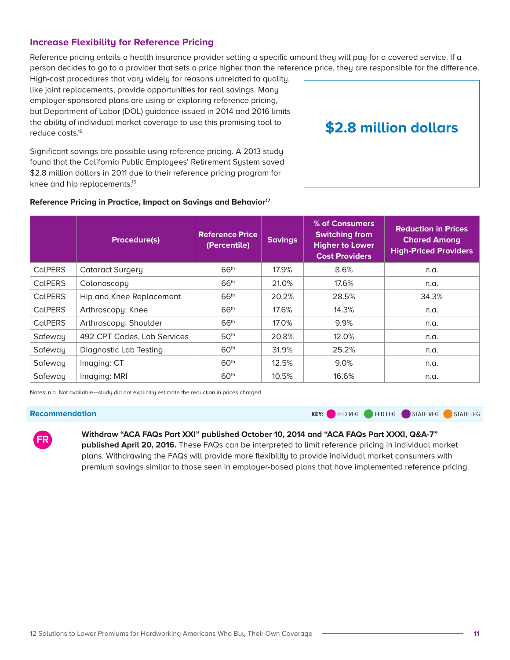

# **Statement on "Strengthening Our Health Care System: Legislation to Lower Consumer Costs and Expand Access"**

# **Submitted to the House Energy and Commerce Committee Subcommittee on Health**

#### **March 6, 2019**

America's Health Insurance Plans (AHIP) is the national association whose members provide coverage for health care and related services to millions of Americans every day. Through these offerings, we improve and protect the health and financial security of consumers, families, businesses, communities, and the nation. We are committed to market-based solutions and public-private partnerships that improve affordability, value, access, and well-being for consumers.

Every American deserves affordable, comprehensive coverage—regardless of their income, health status, or pre-existing conditions. This has been a core principle for health insurance providers and a constant commitment by our industry. Our members work every day to promote health, wellness and prevention, address the significant drivers of chronic disease and poor health, give consumers the power to choose the care and coverage that works best for them and their families, and improve patient care and the consumer experience with innovative tools, treatments, and technologies.

We appreciate this opportunity to comment on the three bills the subcommittee will consider in today's hearing and to share our additional recommendations for making premiums more affordable for Americans who buy coverage in the individual market.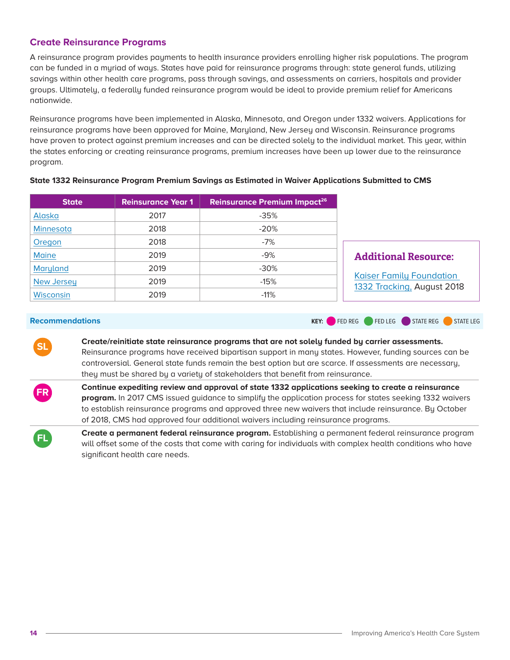#### **Stabilizing Premiums Through Reinsurance Programs**

The "State Health Care Premium Reduction Act" (H.R. 1425) would provide \$10 billion annually to support state reinsurance programs and other approaches to making health care more affordable for individuals enrolled in qualified health plans. AHIP strongly supports this legislation, consistent with our past support for federal funding of state-based initiatives to stabilize insurance markets. 1

State-based reinsurance programs are an effective, proven way to stabilize premiums in the individual health insurance market. Building on our experience in the states, a federally-funded reinsurance program would offset some of the costs of patients who have the most complex health conditions and need the most care. In the last three years, several states have adopted reinsurance arrangements through the use of Section 1332 state innovation waivers with notable success in reducing premiums.

Enacting measures like these can help significantly lower premiums for millions of individuals who rely on the individual market to access care, as long as they are adequately funded and designed to ensure that consumers in all states benefit. This approach also can reduce federal spending on premium tax credits.

### **Promoting Enrollment in Health Coverage Through Navigators**

 $\overline{a}$ 

The "Expand Navigators' Resources for Outreach, Learning, and Longevity Act" (H.R. 1386) would provide \$100 million annually for the Navigator Program to support outreach and education activities focusing on the annual open enrollment period for the Affordable Care Act (ACA) Exchanges. AHIP supports this legislation, consistent with our past support for these activities.

Our members believe it is important for the federal government to devote adequate resources to marketing, outreach, and education before and during open enrollment to help consumers understand their coverage options and encourage broad market participation. Moreover, even with improved availability and functionality of online tools to help consumers, the process of

<sup>&</sup>lt;sup>1</sup> Similar proposals AHIP supported in the 115th Congress include the Patient and State Stability Fund that was approved by the House in May 2017 as part of the American Health Care Act, and a bipartisan Senate proposal announced in October 2017 that would have given states more funding flexibility to establish reinsurance, high risk pools, invisible high-risk pools, insurance stability funds, and other programs.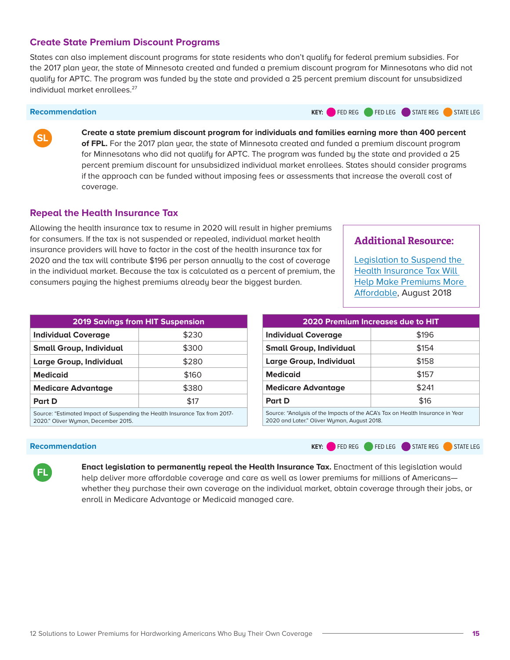choosing and enrolling in coverage along with understanding eligibility for different programs and federal assistance can still be complicated. Marketing, outreach, and education activities help reduce the number of uninsured Americans by ensuring that consumers are aware of the products available to them and the timing of the annual open enrollment period including the enrollment deadline. In addition, by encouraging continuous coverage and promoting enrollment of a broad mix of both healthy and less healthy individuals, these activities help to stabilize the risk pool and promote more affordable premiums.

### **Allowing Additional States to Administer Their Own Exchanges**

The "State Allowance for a Variety of Exchanges Act" (H.R. 1385) would provide \$200 million to support the planning and establishment of state-based Health Insurance Exchanges in states that currently are participating in the federally-facilitated Exchange. AHIP also supports this legislation.

In 2019, 11 states and the District of Columbia are offering ACA coverage options through their own state-based Exchanges. The other 39 states are using the federally-facilitated Exchange. Both approaches are currently working well for millions of Americans. However, to the extent that additional states may wish to transition to state-based Exchanges, we agree that federal funding should be available to support this transition. In states that want to administer their own marketplaces, such funding would help state officials provide a shopping experience that is tailored to meet the specific needs and circumstances of their residents.

## **Ensuring Affordable, Comprehensive Health Coverage for All Americans**

In addition to the bills that are on today's hearing agenda, we believe additional steps are needed to make health care more affordable for people who buy coverage in the individual market. Nearly 15 million Americans purchase their health coverage through the individual market—but without support from an employer contribution or if the individual's income is too high to qualify for premium tax credit assistance, costs can pose a significant challenge to obtaining coverage.

To address this concern, AHIP released a report<sup>2</sup> in November 2018 outlining 12 recommendations that can be implemented, by policymakers at both the state and federal levels,

 $\overline{a}$ <sup>2</sup> <https://www.ahip.org/12-solutions-to-lower-premiums-for-hardworking-americans-who-buy-their-own-coverage/>